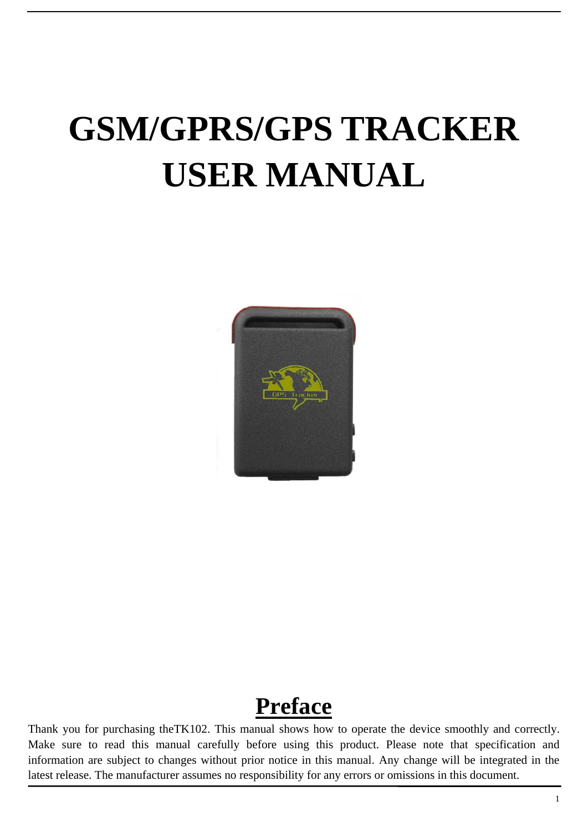# **GSM/GPRS/GPS TRACKER USER MANUAL**



# <sup>U</sup>**Preface**

Thank you for purchasing theTK102. This manual shows how to operate the device smoothly and correctly. Make sure to read this manual carefully before using this product. Please note that specification and information are subject to changes without prior notice in this manual. Any change will be integrated in the latest release. The manufacturer assumes no responsibility for any errors or omissions in this document.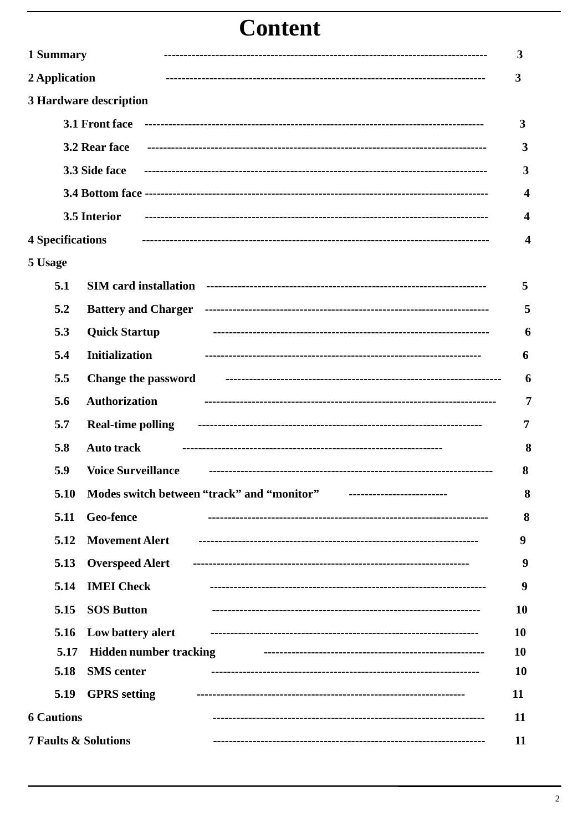# **Content**

| 1 Summary                   |                              | 3                       |
|-----------------------------|------------------------------|-------------------------|
| 2 Application               |                              | 3                       |
| 3 Hardware description      |                              |                         |
| 3.1 Front face              |                              | 3                       |
| 3.2 Rear face               |                              | 3                       |
| 3.3 Side face               |                              | 3                       |
|                             |                              | $\overline{\mathbf{4}}$ |
| 3.5 Interior                |                              | $\overline{\mathbf{4}}$ |
| <b>4 Specifications</b>     |                              | $\overline{\mathbf{4}}$ |
| 5 Usage                     |                              |                         |
| 5.1                         | <b>SIM</b> card installation | 5                       |
| 5.2                         | <b>Battery and Charger</b>   | 5                       |
| 5.3<br><b>Quick Startup</b> |                              | 6                       |

| ິ                               | Quick Dial tup                |                                                                          | v  |
|---------------------------------|-------------------------------|--------------------------------------------------------------------------|----|
| 5.4                             | <b>Initialization</b>         |                                                                          | 6  |
| 5.5                             | <b>Change the password</b>    |                                                                          | 6  |
| 5.6                             | <b>Authorization</b>          |                                                                          | 7  |
| 5.7                             | <b>Real-time polling</b>      |                                                                          | 7  |
| 5.8                             | <b>Auto track</b>             |                                                                          | 8  |
| 5.9                             | <b>Voice Surveillance</b>     |                                                                          | 8  |
| 5.10                            |                               | Modes switch between "track" and "monitor"<br>-------------------------- | 8  |
| 5.11                            | Geo-fence                     |                                                                          | 8  |
| 5.12                            | <b>Movement Alert</b>         |                                                                          | 9  |
| 5.13                            | <b>Overspeed Alert</b>        |                                                                          | 9  |
| 5.14                            | <b>IMEI</b> Check             |                                                                          | 9  |
| 5.15                            | <b>SOS Button</b>             |                                                                          | 10 |
| 5.16                            | Low battery alert             |                                                                          | 10 |
| 5.17                            | <b>Hidden number tracking</b> |                                                                          | 10 |
| 5.18                            | <b>SMS</b> center             |                                                                          | 10 |
| 5.19                            | <b>GPRS</b> setting           |                                                                          | 11 |
| <b>6 Cautions</b>               |                               |                                                                          | 11 |
| <b>7 Faults &amp; Solutions</b> |                               |                                                                          | 11 |
|                                 |                               |                                                                          |    |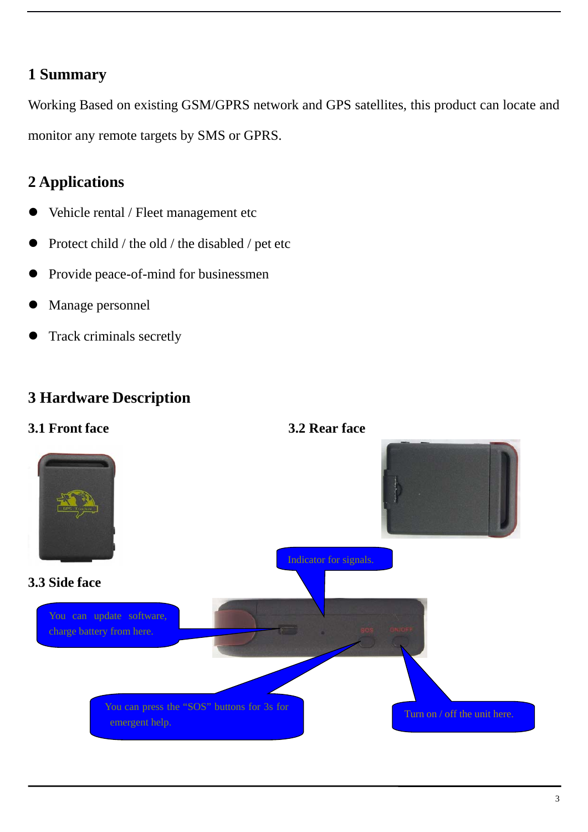## **1 Summary**

Working Based on existing GSM/GPRS network and GPS satellites, this product can locate and monitor any remote targets by SMS or GPRS.

## **2 Applications**

- Vehicle rental / Fleet management etc
- Protect child / the old / the disabled / pet etc
- Provide peace-of-mind for businessmen
- Manage personnel
- Track criminals secretly

# **3 Hardware Description**

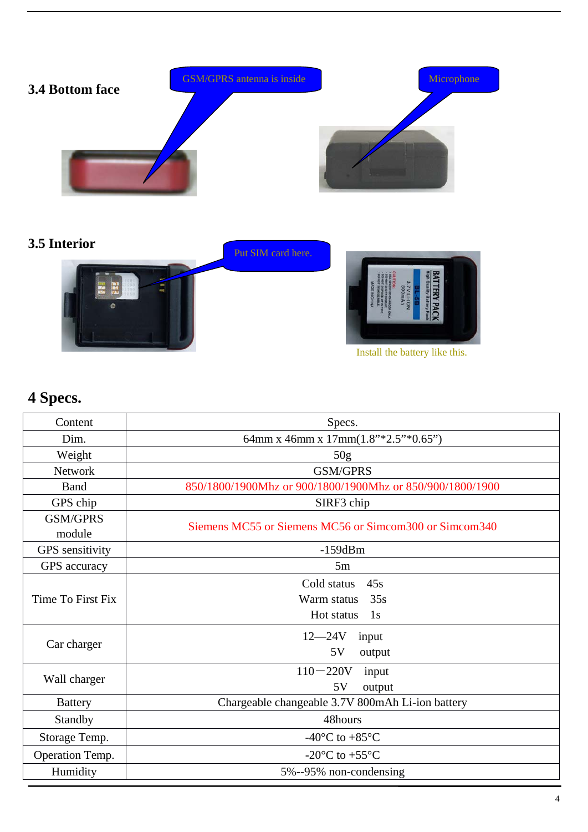

#### **3.5 Interior**



# **4 Specs.**

| Content                   | Specs.                                                       |
|---------------------------|--------------------------------------------------------------|
| Dim.                      | 64mm x 46mm x 17mm(1.8"*2.5"*0.65")                          |
| Weight                    | 50 <sub>g</sub>                                              |
| <b>Network</b>            | <b>GSM/GPRS</b>                                              |
| Band                      | 850/1800/1900Mhz or 900/1800/1900Mhz or 850/900/1800/1900    |
| GPS chip                  | SIRF3 chip                                                   |
| <b>GSM/GPRS</b><br>module | Siemens MC55 or Siemens MC56 or Simcom300 or Simcom340       |
| GPS sensitivity           | $-159dBm$                                                    |
| GPS accuracy              | 5m                                                           |
| Time To First Fix         | Cold status<br>45s<br>35s<br>Warm status<br>Hot status<br>1s |
| Car charger               | $12 - 24V$<br>input<br>5V<br>output                          |
| Wall charger              | $110 - 220V$<br>input<br>5V<br>output                        |
| <b>Battery</b>            | Chargeable changeable 3.7V 800mAh Li-ion battery             |
| Standby                   | 48hours                                                      |
| Storage Temp.             | -40 $\rm{^{\circ}C}$ to +85 $\rm{^{\circ}C}$                 |
| Operation Temp.           | -20 $\rm{^{\circ}C}$ to +55 $\rm{^{\circ}C}$                 |
| Humidity                  | 5%--95% non-condensing                                       |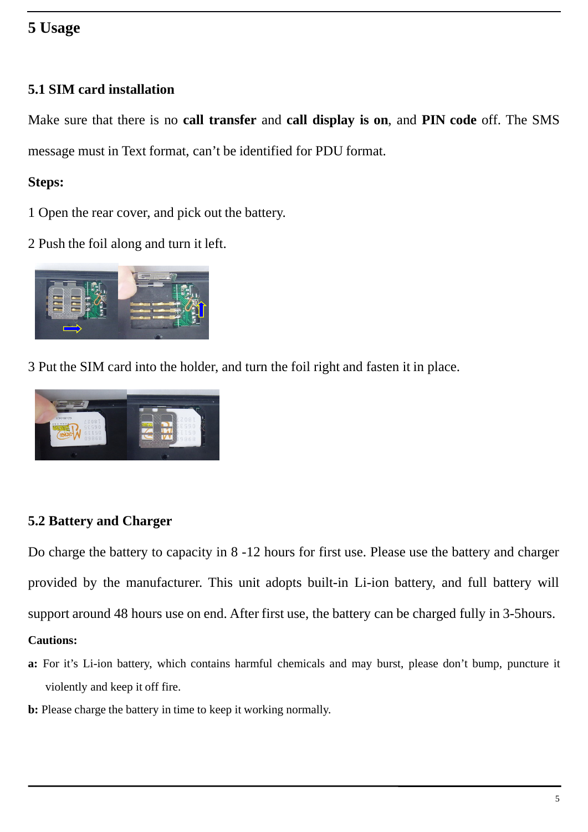# **5 Usage**

#### **5.1 SIM card installation**

Make sure that there is no **call transfer** and **call display is on**, and **PIN code** off. The SMS message must in Text format, can't be identified for PDU format.

#### **Steps:**

- 1 Open the rear cover, and pick out the battery.
- 2 Push the foil along and turn it left.



3 Put the SIM card into the holder, and turn the foil right and fasten it in place.



#### **5.2 Battery and Charger**

Do charge the battery to capacity in 8 -12 hours for first use. Please use the battery and charger provided by the manufacturer. This unit adopts built-in Li-ion battery, and full battery will support around 48 hours use on end. After first use, the battery can be charged fully in 3-5hours. **Cautions:**

- **a:** For it's Li-ion battery, which contains harmful chemicals and may burst, please don't bump, puncture it violently and keep it off fire.
- **b:** Please charge the battery in time to keep it working normally.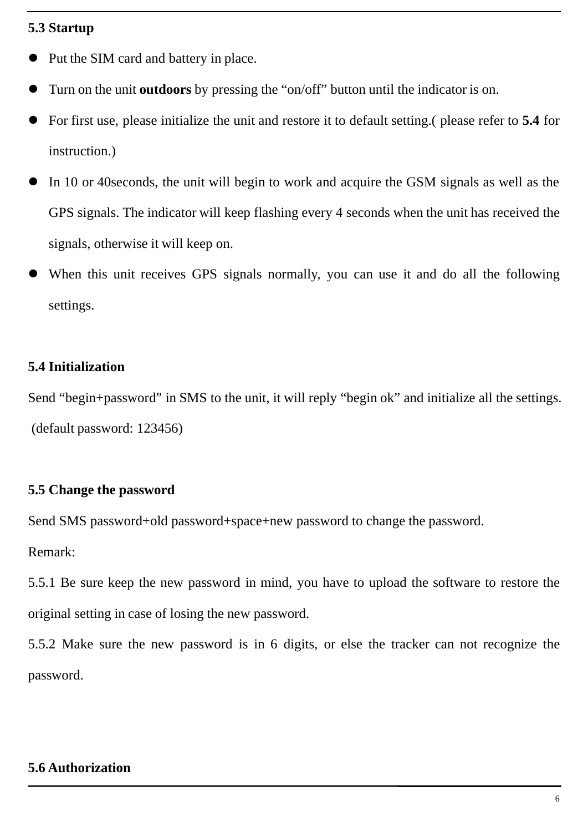#### **5.3 Startup**

- Put the SIM card and battery in place.
- z Turn on the unit **outdoors** by pressing the "on/off" button until the indicator is on.
- For first use, please initialize the unit and restore it to default setting. (please refer to 5.4 for instruction.)
- In 10 or 40 seconds, the unit will begin to work and acquire the GSM signals as well as the GPS signals. The indicator will keep flashing every 4 seconds when the unit has received the signals, otherwise it will keep on.
- When this unit receives GPS signals normally, you can use it and do all the following settings.

#### **5.4 Initialization**

Send "begin+password" in SMS to the unit, it will reply "begin ok" and initialize all the settings. (default password: 123456)

#### **5.5 Change the password**

Send SMS password+old password+space+new password to change the password.

Remark:

5.5.1 Be sure keep the new password in mind, you have to upload the software to restore the original setting in case of losing the new password.

5.5.2 Make sure the new password is in 6 digits, or else the tracker can not recognize the password.

#### **5.6 Authorization**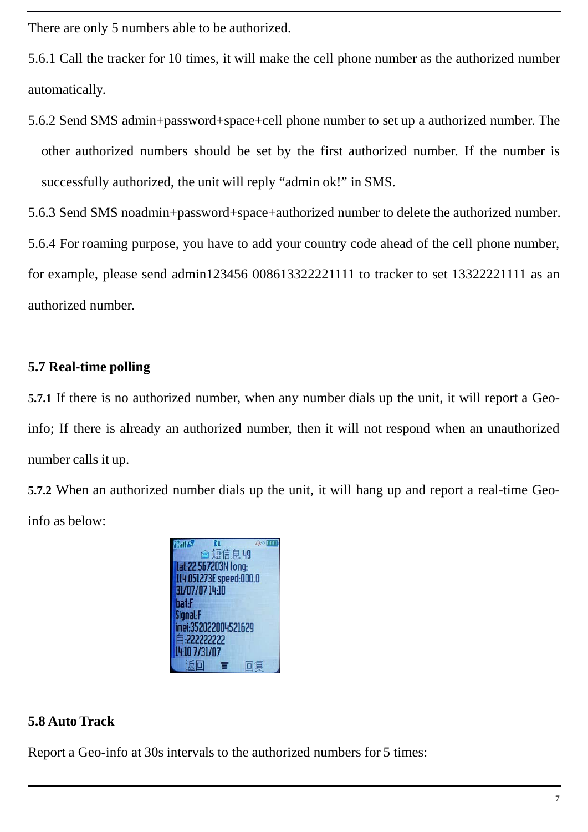There are only 5 numbers able to be authorized.

5.6.1 Call the tracker for 10 times, it will make the cell phone number as the authorized number automatically.

5.6.2 Send SMS admin+password+space+cell phone number to set up a authorized number. The other authorized numbers should be set by the first authorized number. If the number is successfully authorized, the unit will reply "admin ok!" in SMS.

5.6.3 Send SMS noadmin+password+space+authorized number to delete the authorized number. 5.6.4 For roaming purpose, you have to add your country code ahead of the cell phone number, for example, please send admin123456 008613322221111 to tracker to set 13322221111 as an authorized number.

#### **5.7 Real-time polling**

**5.7.1** If there is no authorized number, when any number dials up the unit, it will report a Geoinfo; If there is already an authorized number, then it will not respond when an unauthorized number calls it up.

**5.7.2** When an authorized number dials up the unit, it will hang up and report a real-time Geoinfo as below:



#### **5.8 Auto Track**

Report a Geo-info at 30s intervals to the authorized numbers for 5 times: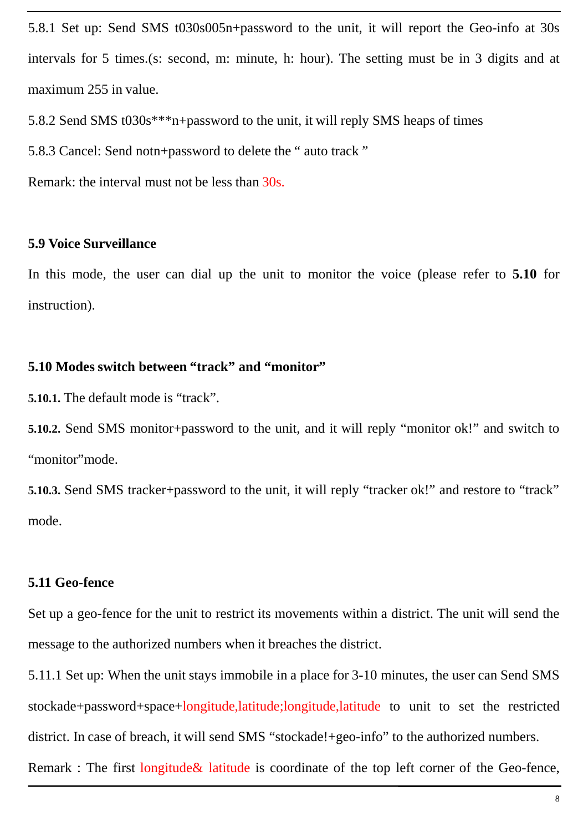5.8.1 Set up: Send SMS t030s005n+password to the unit, it will report the Geo-info at 30s intervals for 5 times.(s: second, m: minute, h: hour). The setting must be in 3 digits and at maximum 255 in value.

5.8.2 Send SMS t030s\*\*\*n+password to the unit, it will reply SMS heaps of times

5.8.3 Cancel: Send notn+password to delete the " auto track "

Remark: the interval must not be less than 30s.

#### **5.9 Voice Surveillance**

In this mode, the user can dial up the unit to monitor the voice (please refer to **5.10** for instruction).

#### **5.10 Modes switch between "track" and "monitor"**

**5.10.1.** The default mode is "track".

**5.10.2.** Send SMS monitor+password to the unit, and it will reply "monitor ok!" and switch to "monitor" mode.

**5.10.3.** Send SMS tracker+password to the unit, it will reply "tracker ok!" and restore to "track" mode.

#### **5.11 Geo-fence**

Set up a geo-fence for the unit to restrict its movements within a district. The unit will send the message to the authorized numbers when it breaches the district.

5.11.1 Set up: When the unit stays immobile in a place for 3-10 minutes, the user can Send SMS stockade+password+space+longitude,latitude;longitude,latitude to unit to set the restricted district. In case of breach, it will send SMS "stockade!+geo-info" to the authorized numbers.

Remark : The first longitude& latitude is coordinate of the top left corner of the Geo-fence,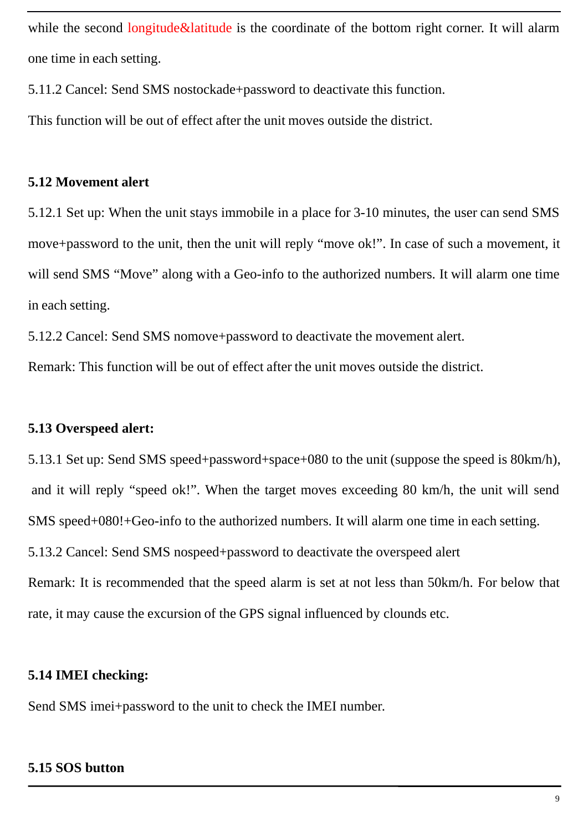while the second longitude & latitude is the coordinate of the bottom right corner. It will alarm one time in each setting.

5.11.2 Cancel: Send SMS nostockade+password to deactivate this function.

This function will be out of effect after the unit moves outside the district.

#### **5.12 Movement alert**

5.12.1 Set up: When the unit stays immobile in a place for 3-10 minutes, the user can send SMS move+password to the unit, then the unit will reply "move ok!". In case of such a movement, it will send SMS "Move" along with a Geo-info to the authorized numbers. It will alarm one time in each setting.

5.12.2 Cancel: Send SMS nomove+password to deactivate the movement alert.

Remark: This function will be out of effect after the unit moves outside the district.

#### **5.13 Overspeed alert:**

5.13.1 Set up: Send SMS speed+password+space+080 to the unit (suppose the speed is 80km/h), and it will reply "speed ok!". When the target moves exceeding 80 km/h, the unit will send SMS speed+080!+Geo-info to the authorized numbers. It will alarm one time in each setting.

5.13.2 Cancel: Send SMS nospeed+password to deactivate the overspeed alert

Remark: It is recommended that the speed alarm is set at not less than 50km/h. For below that rate, it may cause the excursion of the GPS signal influenced by clounds etc.

#### **5.14 IMEI checking:**

Send SMS imei+password to the unit to check the IMEI number.

#### **5.15 SOS button**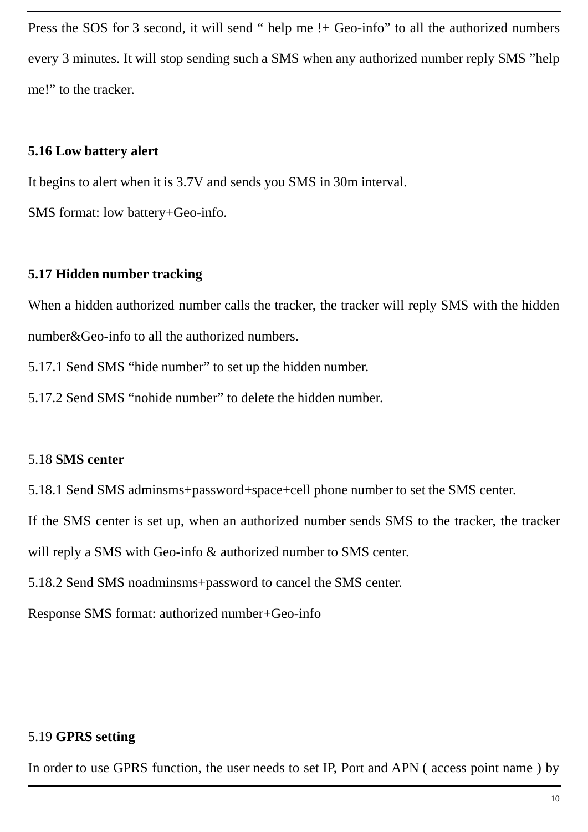Press the SOS for 3 second, it will send " help me !+ Geo-info" to all the authorized numbers every 3 minutes. It will stop sending such a SMS when any authorized number reply SMS "help me!" to the tracker.

#### **5.16 Low battery alert**

It begins to alert when it is 3.7V and sends you SMS in 30m interval.

SMS format: low battery+Geo-info.

#### **5.17 Hidden number tracking**

When a hidden authorized number calls the tracker, the tracker will reply SMS with the hidden number&Geo-info to all the authorized numbers.

5.17.1 Send SMS "hide number" to set up the hidden number.

5.17.2 Send SMS "nohide number" to delete the hidden number.

#### 5.18 **SMS center**

5.18.1 Send SMS adminsms+password+space+cell phone number to set the SMS center.

If the SMS center is set up, when an authorized number sends SMS to the tracker, the tracker

will reply a SMS with Geo-info  $\&$  authorized number to SMS center.

5.18.2 Send SMS noadminsms+password to cancel the SMS center.

Response SMS format: authorized number+Geo-info

#### 5.19 **GPRS setting**

In order to use GPRS function, the user needs to set IP, Port and APN ( access point name ) by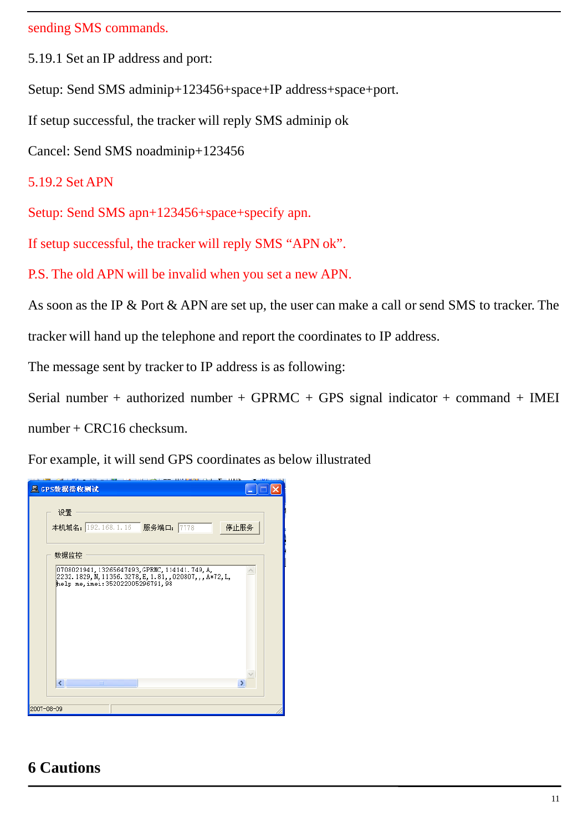sending SMS commands.

5.19.1 Set an IP address and port:

Setup: Send SMS adminip+123456+space+IP address+space+port.

If setup successful, the tracker will reply SMS adminip ok

Cancel: Send SMS noadminip+123456

5.19.2 Set APN

Setup: Send SMS apn+123456+space+specify apn.

If setup successful, the tracker will reply SMS "APN ok".

P.S. The old APN will be invalid when you set a new APN.

As soon as the IP & Port & APN are set up, the user can make a call or send SMS to tracker. The

tracker will hand up the telephone and report the coordinates to IP address.

The message sent by tracker to IP address is as following:

Serial number + authorized number + GPRMC + GPS signal indicator + command + IMEI

number + CRC16 checksum.

For example, it will send GPS coordinates as below illustrated



# **6 Cautions**